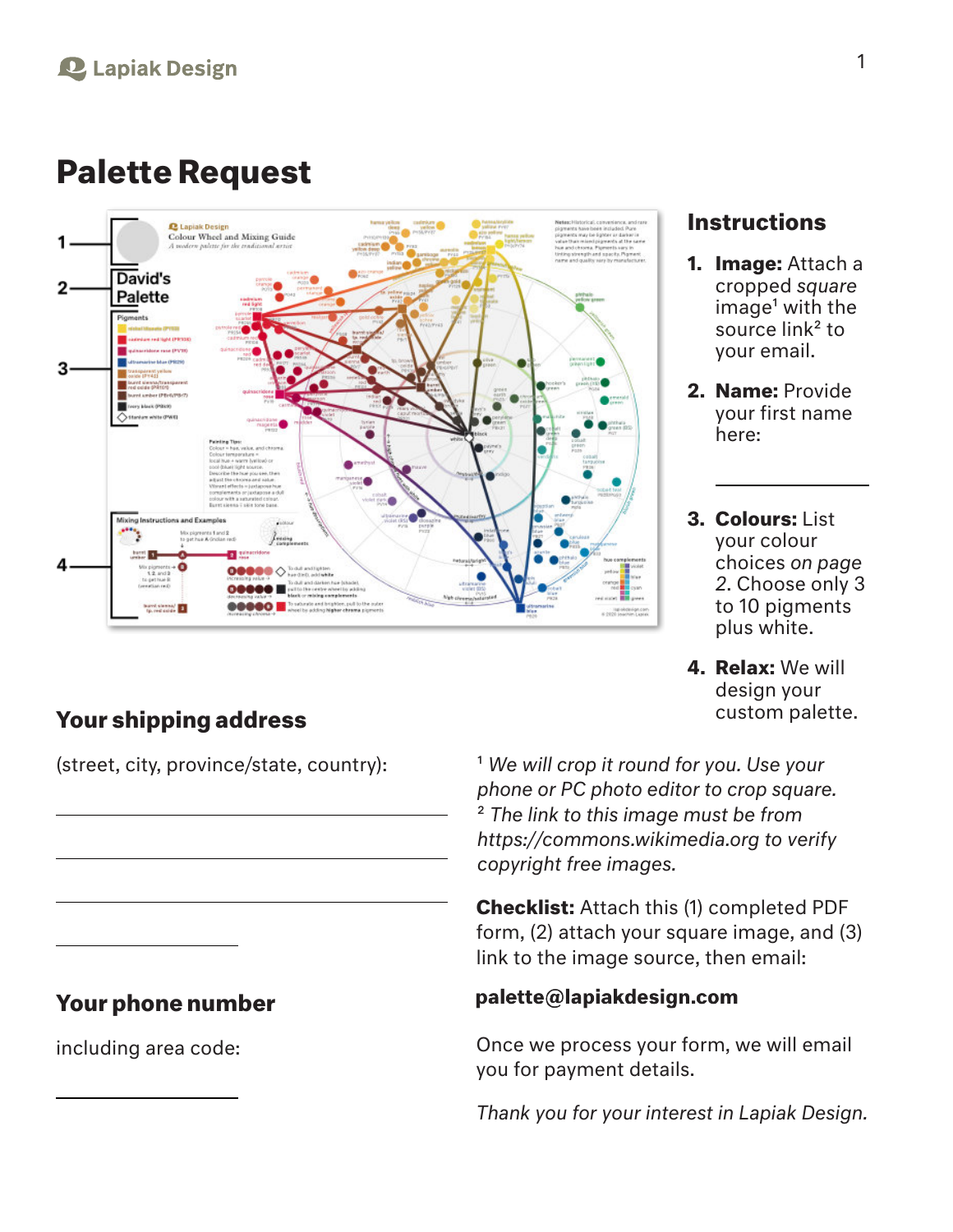# **Palette Request**



## **Your shipping address**

## **Your phone number**

including area code:

- **1. Image:** Attach a cropped *square*  $im \alpha e^1$  with the source link<sup>2</sup> to your email.
- **2. Name:** Provide your first name here:
- **3. Colours:** List your colour choices *on page 2*. Choose only 3 to 10 pigments plus white.
- **4. Relax:** We will design your custom palette.

(street, city, province/state, country): 1 *We will crop it round for you. Use your phone or PC photo editor to crop square.* 2 *The link to this image must be from https://commons.wikimedia.org to verify copyright free images.*

> **Checklist:** Attach this (1) completed PDF form, (2) attach your square image, and (3) link to the image source, then email:

## palette@lapiakdesign.com

Once we process your form, we will email you for payment details.

*Thank you for your interest in Lapiak Design.*